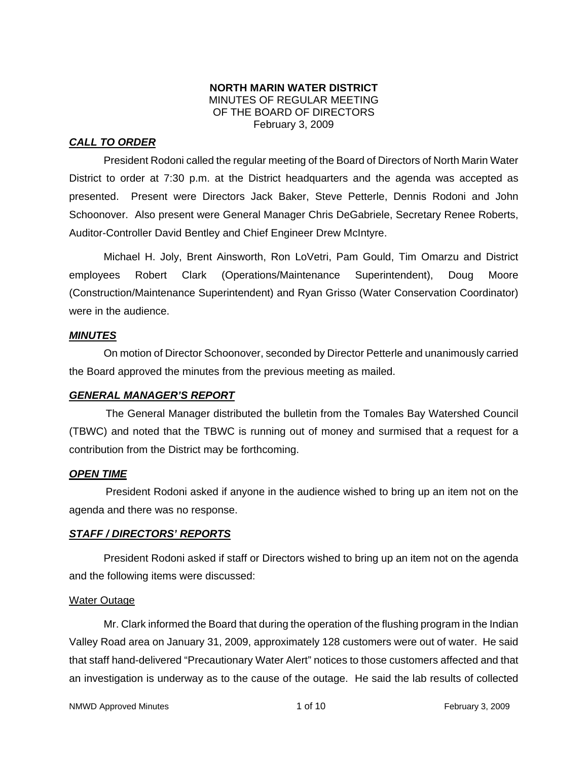## **NORTH MARIN WATER DISTRICT**  MINUTES OF REGULAR MEETING OF THE BOARD OF DIRECTORS February 3, 2009

# *CALL TO ORDER*

President Rodoni called the regular meeting of the Board of Directors of North Marin Water District to order at 7:30 p.m. at the District headquarters and the agenda was accepted as presented. Present were Directors Jack Baker, Steve Petterle, Dennis Rodoni and John Schoonover. Also present were General Manager Chris DeGabriele, Secretary Renee Roberts, Auditor-Controller David Bentley and Chief Engineer Drew McIntyre.

Michael H. Joly, Brent Ainsworth, Ron LoVetri, Pam Gould, Tim Omarzu and District employees Robert Clark (Operations/Maintenance Superintendent), Doug Moore (Construction/Maintenance Superintendent) and Ryan Grisso (Water Conservation Coordinator) were in the audience.

## *MINUTES*

 On motion of Director Schoonover, seconded by Director Petterle and unanimously carried the Board approved the minutes from the previous meeting as mailed.

# *GENERAL MANAGER'S REPORT*

The General Manager distributed the bulletin from the Tomales Bay Watershed Council (TBWC) and noted that the TBWC is running out of money and surmised that a request for a contribution from the District may be forthcoming.

## *OPEN TIME*

President Rodoni asked if anyone in the audience wished to bring up an item not on the agenda and there was no response.

## *STAFF / DIRECTORS' REPORTS*

 President Rodoni asked if staff or Directors wished to bring up an item not on the agenda and the following items were discussed:

## Water Outage

 Mr. Clark informed the Board that during the operation of the flushing program in the Indian Valley Road area on January 31, 2009, approximately 128 customers were out of water. He said that staff hand-delivered "Precautionary Water Alert" notices to those customers affected and that an investigation is underway as to the cause of the outage. He said the lab results of collected

NMWD Approved Minutes and the state of 10 and 1 of 10 and 1 of 10 and 1 of 10 and 1 of 10 and 1 of 10 and 1 of 10 and 1 of 10 and 1 of 10 and 1 of 10 and 1 of 10 and 1 of 10 and 1 of 10 and 1 of 10 and 1 of 10 and 1 of 10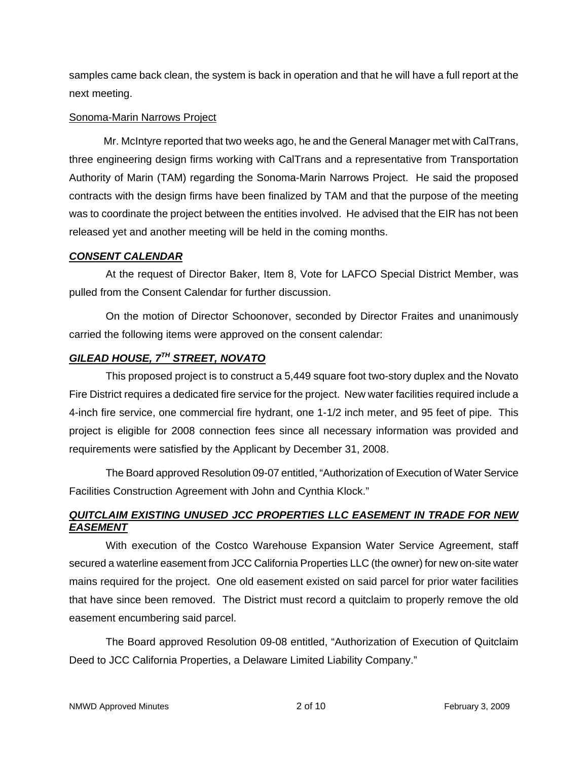samples came back clean, the system is back in operation and that he will have a full report at the next meeting.

## Sonoma-Marin Narrows Project

 Mr. McIntyre reported that two weeks ago, he and the General Manager met with CalTrans, three engineering design firms working with CalTrans and a representative from Transportation Authority of Marin (TAM) regarding the Sonoma-Marin Narrows Project. He said the proposed contracts with the design firms have been finalized by TAM and that the purpose of the meeting was to coordinate the project between the entities involved. He advised that the EIR has not been released yet and another meeting will be held in the coming months.

# *CONSENT CALENDAR*

At the request of Director Baker, Item 8, Vote for LAFCO Special District Member, was pulled from the Consent Calendar for further discussion.

On the motion of Director Schoonover, seconded by Director Fraites and unanimously carried the following items were approved on the consent calendar:

# *GILEAD HOUSE, 7TH STREET, NOVATO*

This proposed project is to construct a 5,449 square foot two-story duplex and the Novato Fire District requires a dedicated fire service for the project. New water facilities required include a 4-inch fire service, one commercial fire hydrant, one 1-1/2 inch meter, and 95 feet of pipe. This project is eligible for 2008 connection fees since all necessary information was provided and requirements were satisfied by the Applicant by December 31, 2008.

The Board approved Resolution 09-07 entitled, "Authorization of Execution of Water Service Facilities Construction Agreement with John and Cynthia Klock."

# *QUITCLAIM EXISTING UNUSED JCC PROPERTIES LLC EASEMENT IN TRADE FOR NEW EASEMENT*

With execution of the Costco Warehouse Expansion Water Service Agreement, staff secured a waterline easement from JCC California Properties LLC (the owner) for new on-site water mains required for the project. One old easement existed on said parcel for prior water facilities that have since been removed. The District must record a quitclaim to properly remove the old easement encumbering said parcel.

The Board approved Resolution 09-08 entitled, "Authorization of Execution of Quitclaim Deed to JCC California Properties, a Delaware Limited Liability Company."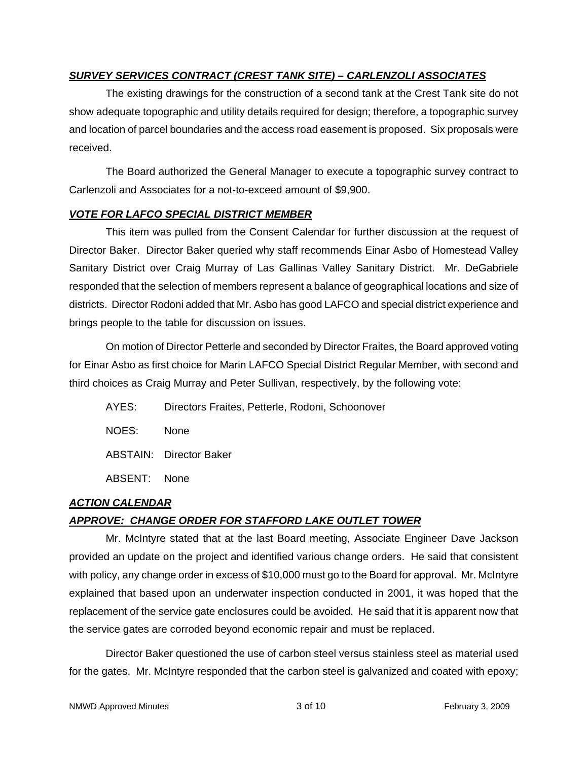# *SURVEY SERVICES CONTRACT (CREST TANK SITE) – CARLENZOLI ASSOCIATES*

The existing drawings for the construction of a second tank at the Crest Tank site do not show adequate topographic and utility details required for design; therefore, a topographic survey and location of parcel boundaries and the access road easement is proposed. Six proposals were received.

The Board authorized the General Manager to execute a topographic survey contract to Carlenzoli and Associates for a not-to-exceed amount of \$9,900.

## *VOTE FOR LAFCO SPECIAL DISTRICT MEMBER*

This item was pulled from the Consent Calendar for further discussion at the request of Director Baker. Director Baker queried why staff recommends Einar Asbo of Homestead Valley Sanitary District over Craig Murray of Las Gallinas Valley Sanitary District. Mr. DeGabriele responded that the selection of members represent a balance of geographical locations and size of districts. Director Rodoni added that Mr. Asbo has good LAFCO and special district experience and brings people to the table for discussion on issues.

On motion of Director Petterle and seconded by Director Fraites, the Board approved voting for Einar Asbo as first choice for Marin LAFCO Special District Regular Member, with second and third choices as Craig Murray and Peter Sullivan, respectively, by the following vote:

- AYES: Directors Fraites, Petterle, Rodoni, Schoonover
- NOES: None
- ABSTAIN: Director Baker
- ABSENT: None

# *ACTION CALENDAR*

# *APPROVE: CHANGE ORDER FOR STAFFORD LAKE OUTLET TOWER*

Mr. McIntyre stated that at the last Board meeting, Associate Engineer Dave Jackson provided an update on the project and identified various change orders. He said that consistent with policy, any change order in excess of \$10,000 must go to the Board for approval. Mr. McIntyre explained that based upon an underwater inspection conducted in 2001, it was hoped that the replacement of the service gate enclosures could be avoided. He said that it is apparent now that the service gates are corroded beyond economic repair and must be replaced.

Director Baker questioned the use of carbon steel versus stainless steel as material used for the gates. Mr. McIntyre responded that the carbon steel is galvanized and coated with epoxy;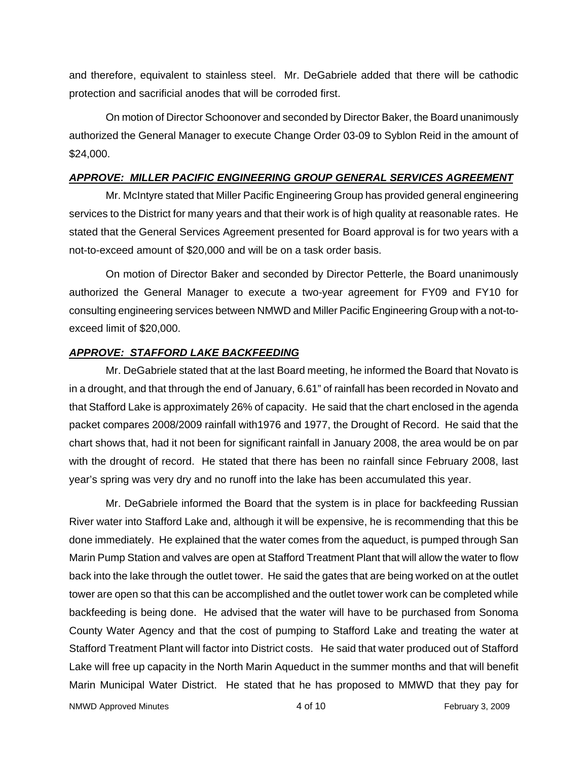and therefore, equivalent to stainless steel. Mr. DeGabriele added that there will be cathodic protection and sacrificial anodes that will be corroded first.

On motion of Director Schoonover and seconded by Director Baker, the Board unanimously authorized the General Manager to execute Change Order 03-09 to Syblon Reid in the amount of \$24,000.

## *APPROVE: MILLER PACIFIC ENGINEERING GROUP GENERAL SERVICES AGREEMENT*

Mr. McIntyre stated that Miller Pacific Engineering Group has provided general engineering services to the District for many years and that their work is of high quality at reasonable rates. He stated that the General Services Agreement presented for Board approval is for two years with a not-to-exceed amount of \$20,000 and will be on a task order basis.

On motion of Director Baker and seconded by Director Petterle, the Board unanimously authorized the General Manager to execute a two-year agreement for FY09 and FY10 for consulting engineering services between NMWD and Miller Pacific Engineering Group with a not-toexceed limit of \$20,000.

# *APPROVE: STAFFORD LAKE BACKFEEDING*

Mr. DeGabriele stated that at the last Board meeting, he informed the Board that Novato is in a drought, and that through the end of January, 6.61" of rainfall has been recorded in Novato and that Stafford Lake is approximately 26% of capacity. He said that the chart enclosed in the agenda packet compares 2008/2009 rainfall with1976 and 1977, the Drought of Record. He said that the chart shows that, had it not been for significant rainfall in January 2008, the area would be on par with the drought of record. He stated that there has been no rainfall since February 2008, last year's spring was very dry and no runoff into the lake has been accumulated this year.

Mr. DeGabriele informed the Board that the system is in place for backfeeding Russian River water into Stafford Lake and, although it will be expensive, he is recommending that this be done immediately. He explained that the water comes from the aqueduct, is pumped through San Marin Pump Station and valves are open at Stafford Treatment Plant that will allow the water to flow back into the lake through the outlet tower. He said the gates that are being worked on at the outlet tower are open so that this can be accomplished and the outlet tower work can be completed while backfeeding is being done. He advised that the water will have to be purchased from Sonoma County Water Agency and that the cost of pumping to Stafford Lake and treating the water at Stafford Treatment Plant will factor into District costs. He said that water produced out of Stafford Lake will free up capacity in the North Marin Aqueduct in the summer months and that will benefit Marin Municipal Water District. He stated that he has proposed to MMWD that they pay for

NMWD Approved Minutes and the state of the 4 of 10 and the February 3, 2009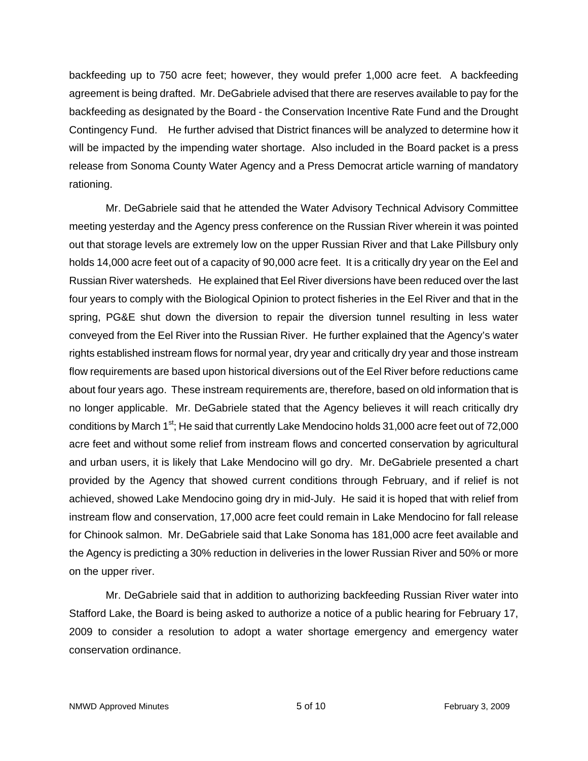backfeeding up to 750 acre feet; however, they would prefer 1,000 acre feet. A backfeeding agreement is being drafted. Mr. DeGabriele advised that there are reserves available to pay for the backfeeding as designated by the Board - the Conservation Incentive Rate Fund and the Drought Contingency Fund. He further advised that District finances will be analyzed to determine how it will be impacted by the impending water shortage. Also included in the Board packet is a press release from Sonoma County Water Agency and a Press Democrat article warning of mandatory rationing.

Mr. DeGabriele said that he attended the Water Advisory Technical Advisory Committee meeting yesterday and the Agency press conference on the Russian River wherein it was pointed out that storage levels are extremely low on the upper Russian River and that Lake Pillsbury only holds 14,000 acre feet out of a capacity of 90,000 acre feet. It is a critically dry year on the Eel and Russian River watersheds. He explained that Eel River diversions have been reduced over the last four years to comply with the Biological Opinion to protect fisheries in the Eel River and that in the spring, PG&E shut down the diversion to repair the diversion tunnel resulting in less water conveyed from the Eel River into the Russian River. He further explained that the Agency's water rights established instream flows for normal year, dry year and critically dry year and those instream flow requirements are based upon historical diversions out of the Eel River before reductions came about four years ago. These instream requirements are, therefore, based on old information that is no longer applicable. Mr. DeGabriele stated that the Agency believes it will reach critically dry conditions by March 1<sup>st</sup>; He said that currently Lake Mendocino holds 31,000 acre feet out of 72,000 acre feet and without some relief from instream flows and concerted conservation by agricultural and urban users, it is likely that Lake Mendocino will go dry. Mr. DeGabriele presented a chart provided by the Agency that showed current conditions through February, and if relief is not achieved, showed Lake Mendocino going dry in mid-July. He said it is hoped that with relief from instream flow and conservation, 17,000 acre feet could remain in Lake Mendocino for fall release for Chinook salmon. Mr. DeGabriele said that Lake Sonoma has 181,000 acre feet available and the Agency is predicting a 30% reduction in deliveries in the lower Russian River and 50% or more on the upper river.

Mr. DeGabriele said that in addition to authorizing backfeeding Russian River water into Stafford Lake, the Board is being asked to authorize a notice of a public hearing for February 17, 2009 to consider a resolution to adopt a water shortage emergency and emergency water conservation ordinance.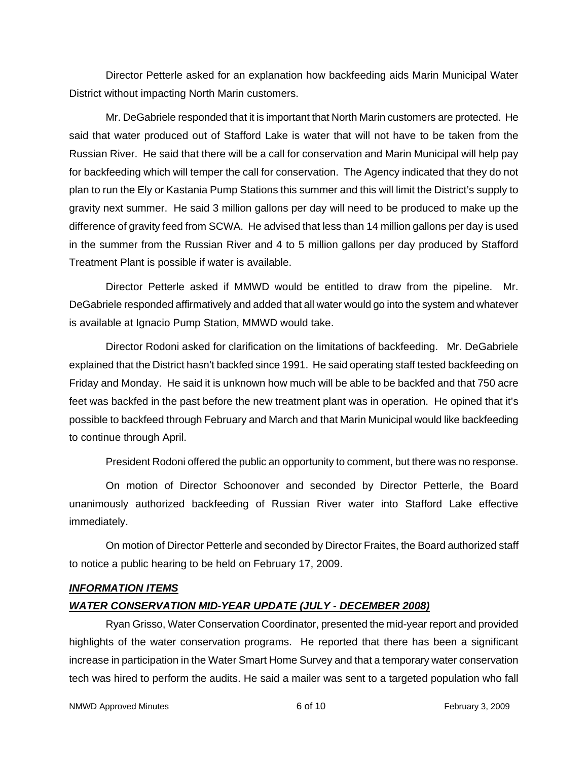Director Petterle asked for an explanation how backfeeding aids Marin Municipal Water District without impacting North Marin customers.

Mr. DeGabriele responded that it is important that North Marin customers are protected. He said that water produced out of Stafford Lake is water that will not have to be taken from the Russian River. He said that there will be a call for conservation and Marin Municipal will help pay for backfeeding which will temper the call for conservation. The Agency indicated that they do not plan to run the Ely or Kastania Pump Stations this summer and this will limit the District's supply to gravity next summer. He said 3 million gallons per day will need to be produced to make up the difference of gravity feed from SCWA. He advised that less than 14 million gallons per day is used in the summer from the Russian River and 4 to 5 million gallons per day produced by Stafford Treatment Plant is possible if water is available.

Director Petterle asked if MMWD would be entitled to draw from the pipeline. Mr. DeGabriele responded affirmatively and added that all water would go into the system and whatever is available at Ignacio Pump Station, MMWD would take.

Director Rodoni asked for clarification on the limitations of backfeeding. Mr. DeGabriele explained that the District hasn't backfed since 1991. He said operating staff tested backfeeding on Friday and Monday. He said it is unknown how much will be able to be backfed and that 750 acre feet was backfed in the past before the new treatment plant was in operation. He opined that it's possible to backfeed through February and March and that Marin Municipal would like backfeeding to continue through April.

President Rodoni offered the public an opportunity to comment, but there was no response.

On motion of Director Schoonover and seconded by Director Petterle, the Board unanimously authorized backfeeding of Russian River water into Stafford Lake effective immediately.

On motion of Director Petterle and seconded by Director Fraites, the Board authorized staff to notice a public hearing to be held on February 17, 2009.

## *INFORMATION ITEMS*

# *WATER CONSERVATION MID-YEAR UPDATE (JULY - DECEMBER 2008)*

Ryan Grisso, Water Conservation Coordinator, presented the mid-year report and provided highlights of the water conservation programs. He reported that there has been a significant increase in participation in the Water Smart Home Survey and that a temporary water conservation tech was hired to perform the audits. He said a mailer was sent to a targeted population who fall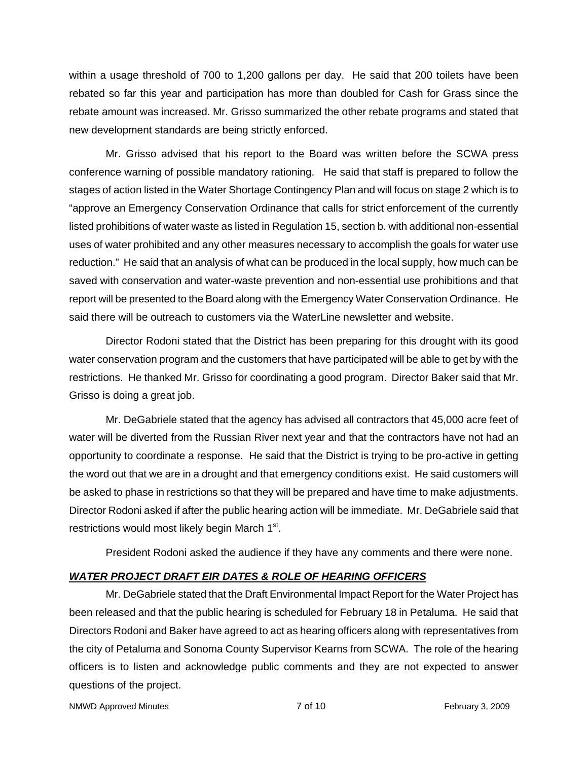within a usage threshold of 700 to 1,200 gallons per day. He said that 200 toilets have been rebated so far this year and participation has more than doubled for Cash for Grass since the rebate amount was increased. Mr. Grisso summarized the other rebate programs and stated that new development standards are being strictly enforced.

Mr. Grisso advised that his report to the Board was written before the SCWA press conference warning of possible mandatory rationing. He said that staff is prepared to follow the stages of action listed in the Water Shortage Contingency Plan and will focus on stage 2 which is to "approve an Emergency Conservation Ordinance that calls for strict enforcement of the currently listed prohibitions of water waste as listed in Regulation 15, section b. with additional non-essential uses of water prohibited and any other measures necessary to accomplish the goals for water use reduction." He said that an analysis of what can be produced in the local supply, how much can be saved with conservation and water-waste prevention and non-essential use prohibitions and that report will be presented to the Board along with the Emergency Water Conservation Ordinance. He said there will be outreach to customers via the WaterLine newsletter and website.

Director Rodoni stated that the District has been preparing for this drought with its good water conservation program and the customers that have participated will be able to get by with the restrictions. He thanked Mr. Grisso for coordinating a good program. Director Baker said that Mr. Grisso is doing a great job.

Mr. DeGabriele stated that the agency has advised all contractors that 45,000 acre feet of water will be diverted from the Russian River next year and that the contractors have not had an opportunity to coordinate a response. He said that the District is trying to be pro-active in getting the word out that we are in a drought and that emergency conditions exist. He said customers will be asked to phase in restrictions so that they will be prepared and have time to make adjustments. Director Rodoni asked if after the public hearing action will be immediate. Mr. DeGabriele said that restrictions would most likely begin March 1<sup>st</sup>.

President Rodoni asked the audience if they have any comments and there were none.

# *WATER PROJECT DRAFT EIR DATES & ROLE OF HEARING OFFICERS*

Mr. DeGabriele stated that the Draft Environmental Impact Report for the Water Project has been released and that the public hearing is scheduled for February 18 in Petaluma. He said that Directors Rodoni and Baker have agreed to act as hearing officers along with representatives from the city of Petaluma and Sonoma County Supervisor Kearns from SCWA. The role of the hearing officers is to listen and acknowledge public comments and they are not expected to answer questions of the project.

NMWD Approved Minutes **NATURE 2009** 7 of 10 **February 3, 2009**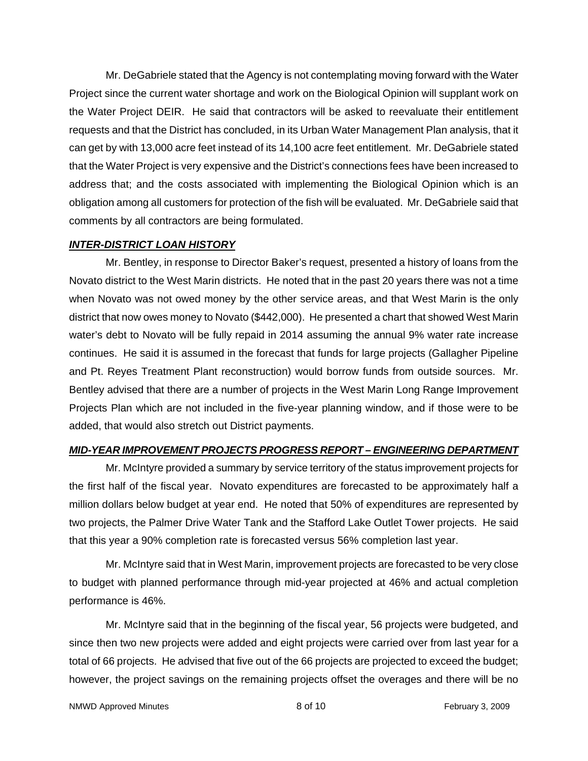Mr. DeGabriele stated that the Agency is not contemplating moving forward with the Water Project since the current water shortage and work on the Biological Opinion will supplant work on the Water Project DEIR. He said that contractors will be asked to reevaluate their entitlement requests and that the District has concluded, in its Urban Water Management Plan analysis, that it can get by with 13,000 acre feet instead of its 14,100 acre feet entitlement. Mr. DeGabriele stated that the Water Project is very expensive and the District's connections fees have been increased to address that; and the costs associated with implementing the Biological Opinion which is an obligation among all customers for protection of the fish will be evaluated. Mr. DeGabriele said that comments by all contractors are being formulated.

#### *INTER-DISTRICT LOAN HISTORY*

Mr. Bentley, in response to Director Baker's request, presented a history of loans from the Novato district to the West Marin districts. He noted that in the past 20 years there was not a time when Novato was not owed money by the other service areas, and that West Marin is the only district that now owes money to Novato (\$442,000). He presented a chart that showed West Marin water's debt to Novato will be fully repaid in 2014 assuming the annual 9% water rate increase continues. He said it is assumed in the forecast that funds for large projects (Gallagher Pipeline and Pt. Reyes Treatment Plant reconstruction) would borrow funds from outside sources. Mr. Bentley advised that there are a number of projects in the West Marin Long Range Improvement Projects Plan which are not included in the five-year planning window, and if those were to be added, that would also stretch out District payments.

## *MID-YEAR IMPROVEMENT PROJECTS PROGRESS REPORT – ENGINEERING DEPARTMENT*

Mr. McIntyre provided a summary by service territory of the status improvement projects for the first half of the fiscal year. Novato expenditures are forecasted to be approximately half a million dollars below budget at year end. He noted that 50% of expenditures are represented by two projects, the Palmer Drive Water Tank and the Stafford Lake Outlet Tower projects. He said that this year a 90% completion rate is forecasted versus 56% completion last year.

Mr. McIntyre said that in West Marin, improvement projects are forecasted to be very close to budget with planned performance through mid-year projected at 46% and actual completion performance is 46%.

Mr. McIntyre said that in the beginning of the fiscal year, 56 projects were budgeted, and since then two new projects were added and eight projects were carried over from last year for a total of 66 projects. He advised that five out of the 66 projects are projected to exceed the budget; however, the project savings on the remaining projects offset the overages and there will be no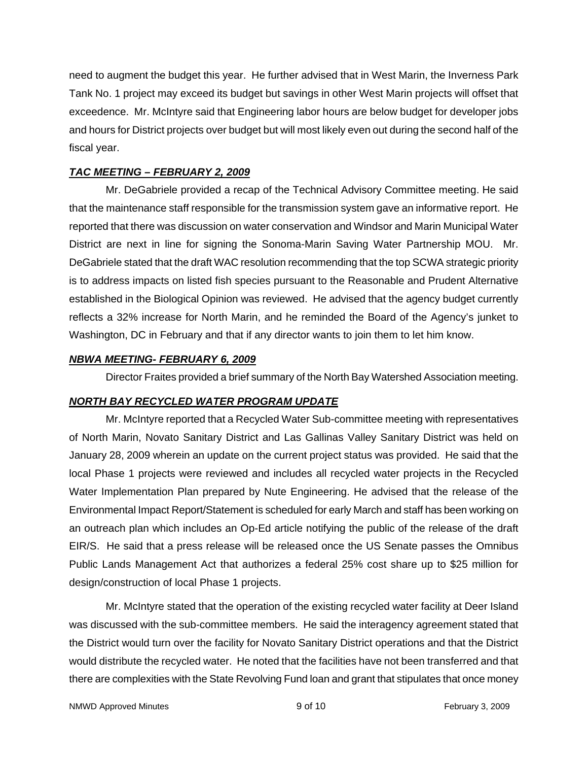need to augment the budget this year. He further advised that in West Marin, the Inverness Park Tank No. 1 project may exceed its budget but savings in other West Marin projects will offset that exceedence. Mr. McIntyre said that Engineering labor hours are below budget for developer jobs and hours for District projects over budget but will most likely even out during the second half of the fiscal year.

## *TAC MEETING – FEBRUARY 2, 2009*

Mr. DeGabriele provided a recap of the Technical Advisory Committee meeting. He said that the maintenance staff responsible for the transmission system gave an informative report. He reported that there was discussion on water conservation and Windsor and Marin Municipal Water District are next in line for signing the Sonoma-Marin Saving Water Partnership MOU. Mr. DeGabriele stated that the draft WAC resolution recommending that the top SCWA strategic priority is to address impacts on listed fish species pursuant to the Reasonable and Prudent Alternative established in the Biological Opinion was reviewed. He advised that the agency budget currently reflects a 32% increase for North Marin, and he reminded the Board of the Agency's junket to Washington, DC in February and that if any director wants to join them to let him know.

## *NBWA MEETING- FEBRUARY 6, 2009*

Director Fraites provided a brief summary of the North Bay Watershed Association meeting.

# *NORTH BAY RECYCLED WATER PROGRAM UPDATE*

Mr. McIntyre reported that a Recycled Water Sub-committee meeting with representatives of North Marin, Novato Sanitary District and Las Gallinas Valley Sanitary District was held on January 28, 2009 wherein an update on the current project status was provided. He said that the local Phase 1 projects were reviewed and includes all recycled water projects in the Recycled Water Implementation Plan prepared by Nute Engineering. He advised that the release of the Environmental Impact Report/Statement is scheduled for early March and staff has been working on an outreach plan which includes an Op-Ed article notifying the public of the release of the draft EIR/S. He said that a press release will be released once the US Senate passes the Omnibus Public Lands Management Act that authorizes a federal 25% cost share up to \$25 million for design/construction of local Phase 1 projects.

Mr. McIntyre stated that the operation of the existing recycled water facility at Deer Island was discussed with the sub-committee members. He said the interagency agreement stated that the District would turn over the facility for Novato Sanitary District operations and that the District would distribute the recycled water. He noted that the facilities have not been transferred and that there are complexities with the State Revolving Fund loan and grant that stipulates that once money